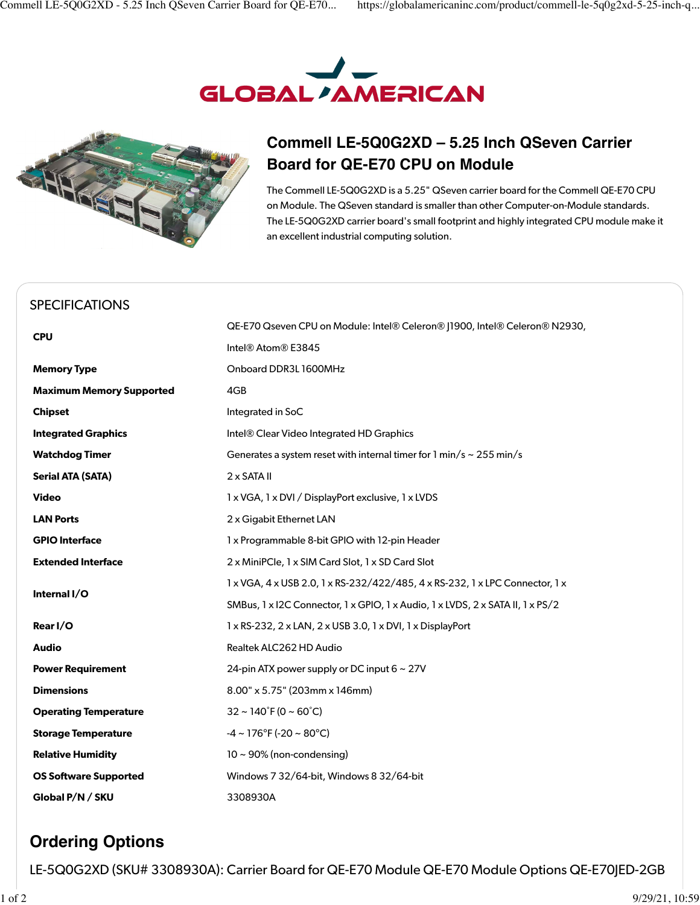



## **Commell LE-5Q0G2XD – 5.25 Inch QSeven Carrier Board for QE-E70 CPU on Module**

The Commell LE-5Q0G2XD is a 5.25" QSeven carrier board for the Commell QE-E70 CPU on Module. The QSeven standard is smaller than other Computer-on-Module standards. The LE-5Q0G2XD carrier board's small footprint and highly integrated CPU module make it an excellent industrial computing solution.

## [SPECIFICATIONS](https://globalamericaninc.com/product/commell-le-5q0g2xd-5-25-inch-qseven-carrier-board-for-qe-e70-cpu-on-module/#tab-additional_information)

| <b>CPU</b>                      | QE-E70 Qseven CPU on Module: Intel® Celeron® J1900, Intel® Celeron® N2930,                    |
|---------------------------------|-----------------------------------------------------------------------------------------------|
|                                 | Intel® Atom® E3845                                                                            |
| <b>Memory Type</b>              | Onboard DDR3L 1600MHz                                                                         |
| <b>Maximum Memory Supported</b> | 4GB                                                                                           |
| <b>Chipset</b>                  | Integrated in SoC                                                                             |
| <b>Integrated Graphics</b>      | Intel® Clear Video Integrated HD Graphics                                                     |
| <b>Watchdog Timer</b>           | Generates a system reset with internal timer for 1 min/s $\sim$ 255 min/s                     |
| <b>Serial ATA (SATA)</b>        | $2 \times$ SATA II                                                                            |
| <b>Video</b>                    | 1 x VGA, 1 x DVI / DisplayPort exclusive, 1 x LVDS                                            |
| <b>LAN Ports</b>                | 2 x Gigabit Ethernet LAN                                                                      |
| <b>GPIO Interface</b>           | 1 x Programmable 8-bit GPIO with 12-pin Header                                                |
| <b>Extended Interface</b>       | 2 x MiniPCle, 1 x SIM Card Slot, 1 x SD Card Slot                                             |
| Internal I/O                    | 1 x VGA, 4 x USB 2.0, 1 x RS-232/422/485, 4 x RS-232, 1 x LPC Connector, 1 x                  |
|                                 | SMBus, 1 x I2C Connector, 1 x GPIO, 1 x Audio, 1 x LVDS, 2 x SATA II, 1 x PS/2                |
| Rear I/O                        | $1 \times$ RS-232, 2 $\times$ LAN, 2 $\times$ USB 3.0, 1 $\times$ DVI, 1 $\times$ DisplayPort |
| <b>Audio</b>                    | Realtek ALC262 HD Audio                                                                       |
| <b>Power Requirement</b>        | 24-pin ATX power supply or DC input $6 \sim 27V$                                              |
| <b>Dimensions</b>               | $8.00'' \times 5.75''$ (203mm x 146mm)                                                        |
| <b>Operating Temperature</b>    | $32 \sim 140^{\circ}$ F (0 ~ 60 $^{\circ}$ C)                                                 |
| <b>Storage Temperature</b>      | $-4 \sim 176^{\circ}$ F (-20 ~ 80°C)                                                          |
| <b>Relative Humidity</b>        | $10 \sim 90\%$ (non-condensing)                                                               |
| <b>OS Software Supported</b>    | Windows 7 32/64-bit, Windows 8 32/64-bit                                                      |
| Global P/N / SKU                | 3308930A                                                                                      |

## **Ordering Options**

LE-5Q0G2XD (SKU# 3308930A): Carrier Board for QE-E70 Module QE-E70 Module Options QE-E70JED-2GB